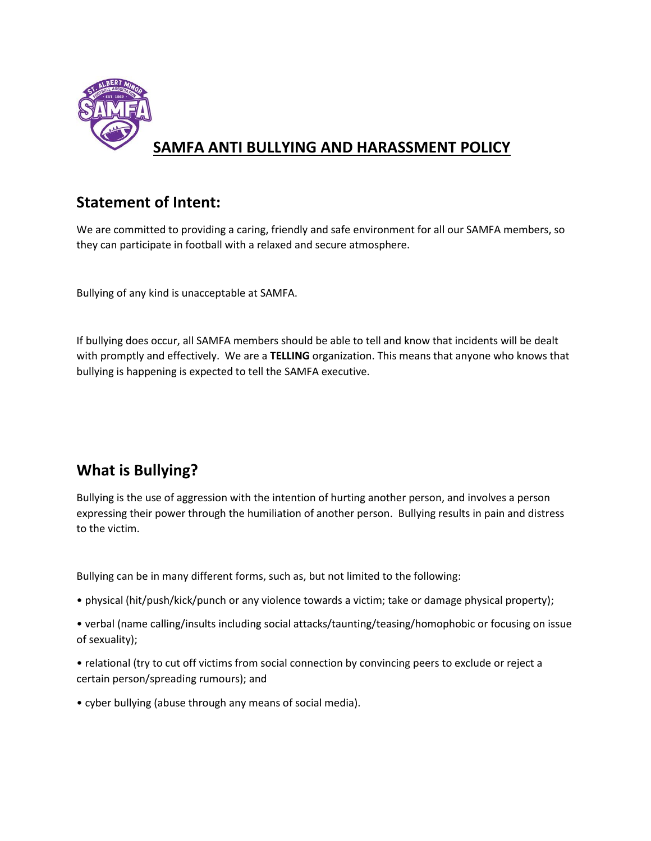

# **SAMFA ANTI BULLYING AND HARASSMENT POLICY**

### **Statement of Intent:**

We are committed to providing a caring, friendly and safe environment for all our SAMFA members, so they can participate in football with a relaxed and secure atmosphere.

Bullying of any kind is unacceptable at SAMFA.

If bullying does occur, all SAMFA members should be able to tell and know that incidents will be dealt with promptly and effectively. We are a **TELLING** organization. This means that anyone who knows that bullying is happening is expected to tell the SAMFA executive.

## **What is Bullying?**

Bullying is the use of aggression with the intention of hurting another person, and involves a person expressing their power through the humiliation of another person. Bullying results in pain and distress to the victim.

Bullying can be in many different forms, such as, but not limited to the following:

- physical (hit/push/kick/punch or any violence towards a victim; take or damage physical property);
- verbal (name calling/insults including social attacks/taunting/teasing/homophobic or focusing on issue of sexuality);
- relational (try to cut off victims from social connection by convincing peers to exclude or reject a certain person/spreading rumours); and
- cyber bullying (abuse through any means of social media).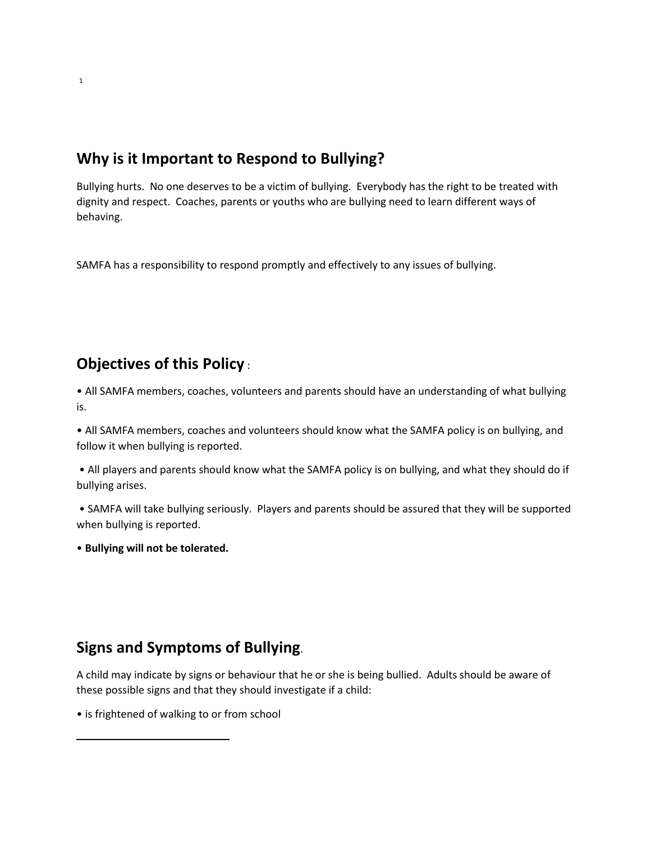### **Why is it Important to Respond to Bullying?**

Bullying hurts. No one deserves to be a victim of bullying. Everybody has the right to be treated with dignity and respect. Coaches, parents or youths who are bullying need to learn different ways of behaving.

SAMFA has a responsibility to respond promptly and effectively to any issues of bullying.

### **Objectives of this Policy** :

• All SAMFA members, coaches, volunteers and parents should have an understanding of what bullying is.

• All SAMFA members, coaches and volunteers should know what the SAMFA policy is on bullying, and follow it when bullying is reported.

• All players and parents should know what the SAMFA policy is on bullying, and what they should do if bullying arises.

• SAMFA will take bullying seriously. Players and parents should be assured that they will be supported when bullying is reported.

• **Bullying will not be tolerated.**

### **Signs and Symptoms of Bullying**.

A child may indicate by signs or behaviour that he or she is being bullied. Adults should be aware of these possible signs and that they should investigate if a child:

• is frightened of walking to or from school

 $\overline{\phantom{a}}$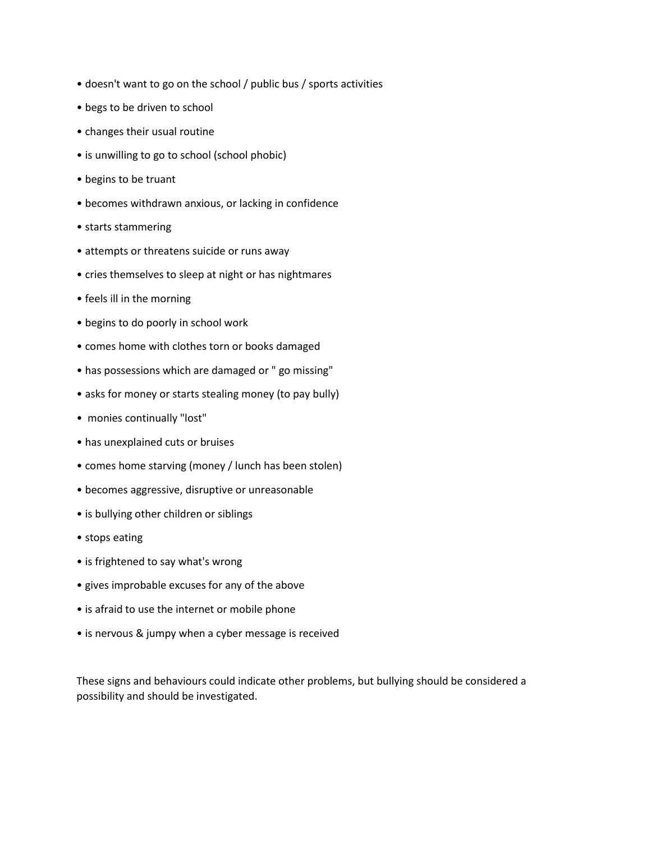- doesn't want to go on the school / public bus / sports activities
- begs to be driven to school
- changes their usual routine
- is unwilling to go to school (school phobic)
- begins to be truant
- becomes withdrawn anxious, or lacking in confidence
- starts stammering
- attempts or threatens suicide or runs away
- cries themselves to sleep at night or has nightmares
- feels ill in the morning
- begins to do poorly in school work
- comes home with clothes torn or books damaged
- has possessions which are damaged or " go missing"
- asks for money or starts stealing money (to pay bully)
- monies continually "lost"
- has unexplained cuts or bruises
- comes home starving (money / lunch has been stolen)
- becomes aggressive, disruptive or unreasonable
- is bullying other children or siblings
- stops eating
- is frightened to say what's wrong
- gives improbable excuses for any of the above
- is afraid to use the internet or mobile phone
- is nervous & jumpy when a cyber message is received

These signs and behaviours could indicate other problems, but bullying should be considered a possibility and should be investigated.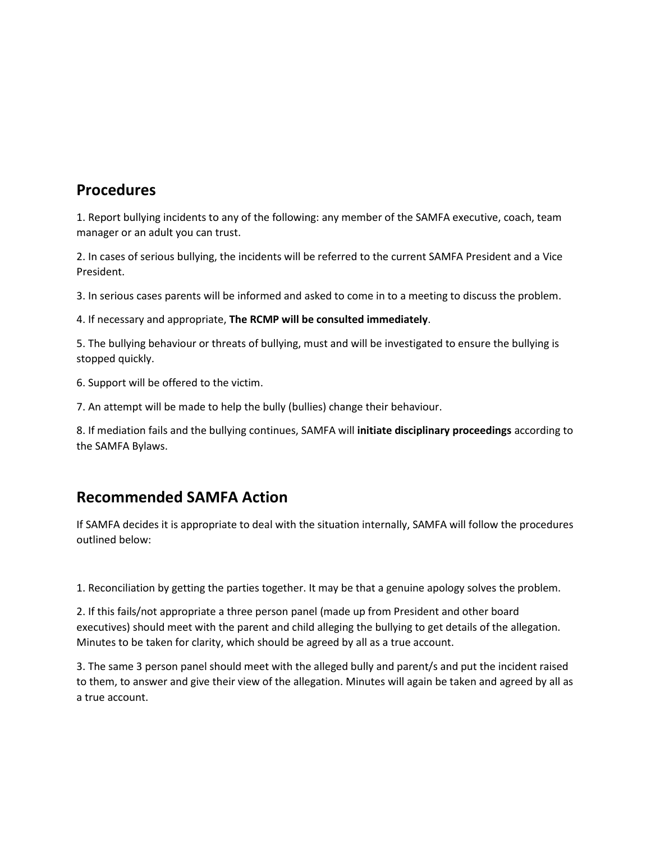#### **Procedures**

1. Report bullying incidents to any of the following: any member of the SAMFA executive, coach, team manager or an adult you can trust.

2. In cases of serious bullying, the incidents will be referred to the current SAMFA President and a Vice President.

3. In serious cases parents will be informed and asked to come in to a meeting to discuss the problem.

4. If necessary and appropriate, **The RCMP will be consulted immediately**.

5. The bullying behaviour or threats of bullying, must and will be investigated to ensure the bullying is stopped quickly.

6. Support will be offered to the victim.

7. An attempt will be made to help the bully (bullies) change their behaviour.

8. If mediation fails and the bullying continues, SAMFA will **initiate disciplinary proceedings** according to the SAMFA Bylaws.

### **Recommended SAMFA Action**

If SAMFA decides it is appropriate to deal with the situation internally, SAMFA will follow the procedures outlined below:

1. Reconciliation by getting the parties together. It may be that a genuine apology solves the problem.

2. If this fails/not appropriate a three person panel (made up from President and other board executives) should meet with the parent and child alleging the bullying to get details of the allegation. Minutes to be taken for clarity, which should be agreed by all as a true account.

3. The same 3 person panel should meet with the alleged bully and parent/s and put the incident raised to them, to answer and give their view of the allegation. Minutes will again be taken and agreed by all as a true account.